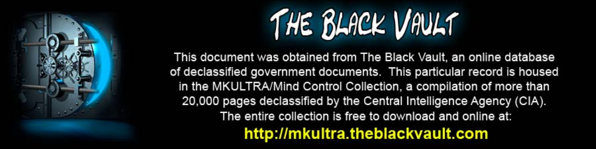

This document was obtained from The Black Vault, an online database of declassified government documents. This particular record is housed in the MKULTRA/Mind Control Collection, a compilation of more than 20,000 pages declassified by the Central Intelligence Agency (CIA). The entire collection is free to download and online at: http://mkultra.theblackvault.com